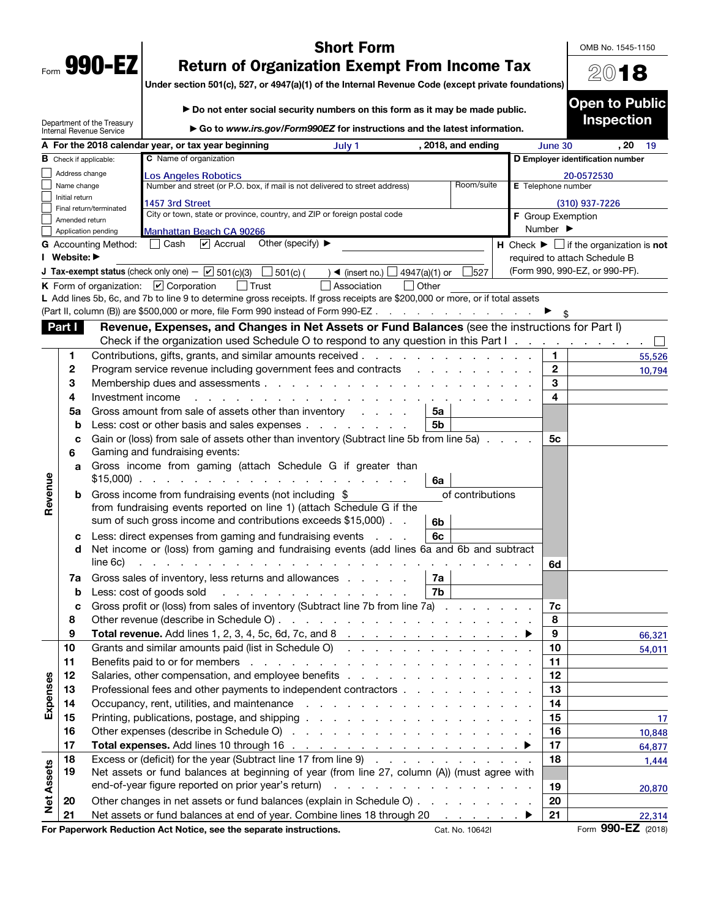| Form | O<br>Λ<br>Œ |  |
|------|-------------|--|

## Short Form

OMB No. 1545-1150

2018

Open to Public

Under section 501(c), 527, or 4947(a)(1) of the Internal Revenue Code (except private foundations)

|                   |                                       | Department of the Treasury<br>Internal Revenue Service | Go to www.irs.gov/Form990EZ for instructions and the latest information.                                                                                                                                                       |                              | <b>Inspection</b>                                             |
|-------------------|---------------------------------------|--------------------------------------------------------|--------------------------------------------------------------------------------------------------------------------------------------------------------------------------------------------------------------------------------|------------------------------|---------------------------------------------------------------|
|                   |                                       |                                                        | A For the 2018 calendar year, or tax year beginning<br>, 2018, and ending<br>July 1                                                                                                                                            | June 30                      | . 20<br>- 19                                                  |
|                   | $\,$ Check if applicable:             |                                                        | C Name of organization                                                                                                                                                                                                         |                              | D Employer identification number                              |
|                   | Address change                        |                                                        | Los Angeles Robotics                                                                                                                                                                                                           |                              | 20-0572530                                                    |
|                   | Name change                           |                                                        | Number and street (or P.O. box, if mail is not delivered to street address)<br>Room/suite                                                                                                                                      | E Telephone number           |                                                               |
|                   | Initial return                        |                                                        | 1457 3rd Street                                                                                                                                                                                                                |                              | (310) 937-7226                                                |
|                   |                                       | Final return/terminated                                | City or town, state or province, country, and ZIP or foreign postal code                                                                                                                                                       | F Group Exemption            |                                                               |
|                   | Amended return<br>Application pending |                                                        |                                                                                                                                                                                                                                | Number $\blacktriangleright$ |                                                               |
|                   |                                       | <b>G</b> Accounting Method:                            | <b>Manhattan Beach CA 90266</b><br>Other (specify) $\blacktriangleright$<br>$ v $ Accrual<br>Cash                                                                                                                              |                              | H Check $\blacktriangleright \Box$ if the organization is not |
|                   | I Website: ▶                          |                                                        |                                                                                                                                                                                                                                |                              | required to attach Schedule B                                 |
|                   |                                       |                                                        | <b>J Tax-exempt status</b> (check only one) $ \boxed{\checkmark}$ 501(c)(3)<br>$\Box$ 501(c) (<br>) ◀ (insert no.) $\Box$<br>∫4947(a)(1) or<br>527                                                                             |                              | (Form 990, 990-EZ, or 990-PF).                                |
|                   |                                       |                                                        | <b>K</b> Form of organization: $\vee$ Corporation<br>I Trust<br>Other<br>Association<br>$\vert \ \ \vert$                                                                                                                      |                              |                                                               |
|                   |                                       |                                                        | L Add lines 5b, 6c, and 7b to line 9 to determine gross receipts. If gross receipts are \$200,000 or more, or if total assets                                                                                                  |                              |                                                               |
|                   |                                       |                                                        | (Part II, column (B)) are \$500,000 or more, file Form 990 instead of Form 990-EZ                                                                                                                                              |                              |                                                               |
|                   | Part I                                |                                                        | Revenue, Expenses, and Changes in Net Assets or Fund Balances (see the instructions for Part I)                                                                                                                                |                              |                                                               |
|                   |                                       |                                                        | Check if the organization used Schedule O to respond to any question in this Part I.                                                                                                                                           |                              |                                                               |
|                   | 1                                     |                                                        | Contributions, gifts, grants, and similar amounts received.<br>the contract of the contract of the contract of the contract of the contract of the contract of the contract of                                                 | 1.                           |                                                               |
|                   | 2                                     |                                                        | Program service revenue including government fees and contracts                                                                                                                                                                | $\mathbf{2}$                 | 55,526                                                        |
|                   | 3                                     |                                                        |                                                                                                                                                                                                                                | 3                            | 10,794                                                        |
|                   | 4                                     | Investment income                                      |                                                                                                                                                                                                                                | 4                            |                                                               |
|                   |                                       |                                                        | and the contract of the contract of the contract of the contract of the contract of the contract of the contract of the contract of the contract of the contract of the contract of the contract of the contract of the contra |                              |                                                               |
|                   | 5a                                    |                                                        | Gross amount from sale of assets other than inventory<br>5a<br>Less: cost or other basis and sales expenses<br>5 <sub>b</sub>                                                                                                  |                              |                                                               |
|                   | b                                     |                                                        |                                                                                                                                                                                                                                |                              |                                                               |
|                   | с<br>6                                |                                                        | Gain or (loss) from sale of assets other than inventory (Subtract line 5b from line 5a)<br>Gaming and fundraising events:                                                                                                      | 5c                           |                                                               |
|                   |                                       |                                                        | Gross income from gaming (attach Schedule G if greater than                                                                                                                                                                    |                              |                                                               |
|                   | a                                     |                                                        |                                                                                                                                                                                                                                |                              |                                                               |
| Revenue           |                                       |                                                        | 6a                                                                                                                                                                                                                             |                              |                                                               |
|                   | b                                     |                                                        | of contributions<br>Gross income from fundraising events (not including \$<br>from fundraising events reported on line 1) (attach Schedule G if the                                                                            |                              |                                                               |
|                   |                                       |                                                        | sum of such gross income and contributions exceeds \$15,000).<br>6 <sub>b</sub>                                                                                                                                                |                              |                                                               |
|                   |                                       |                                                        | 6c                                                                                                                                                                                                                             |                              |                                                               |
|                   | с<br>d                                |                                                        | Less: direct expenses from gaming and fundraising events<br>Net income or (loss) from gaming and fundraising events (add lines 6a and 6b and subtract                                                                          |                              |                                                               |
|                   |                                       | line 6c)                                               | design and contract the contract of the contract of the contract of the contract of the contract of the contract of                                                                                                            |                              |                                                               |
|                   |                                       |                                                        |                                                                                                                                                                                                                                | 6d                           |                                                               |
|                   | 7a                                    |                                                        | Gross sales of inventory, less returns and allowances<br>7a<br>7b                                                                                                                                                              |                              |                                                               |
|                   | b                                     |                                                        | and the company of the company of the company of<br>Less: cost of goods sold                                                                                                                                                   |                              |                                                               |
|                   | c                                     |                                                        | Gross profit or (loss) from sales of inventory (Subtract line 7b from line 7a)                                                                                                                                                 | 7c                           |                                                               |
|                   | 8                                     |                                                        |                                                                                                                                                                                                                                | 8                            |                                                               |
|                   | a                                     |                                                        | Total revenue. Add lines 1, 2, 3, 4, 5c, 6d, 7c, and 8.                                                                                                                                                                        | 9                            | 66,321                                                        |
|                   | 10                                    |                                                        | Grants and similar amounts paid (list in Schedule O)                                                                                                                                                                           | 10                           | 54,011                                                        |
|                   | 11                                    |                                                        |                                                                                                                                                                                                                                | 11                           |                                                               |
|                   | 12                                    |                                                        |                                                                                                                                                                                                                                | 12                           |                                                               |
|                   | 13                                    |                                                        | Professional fees and other payments to independent contractors                                                                                                                                                                | 13                           |                                                               |
| Expenses          | 14                                    |                                                        |                                                                                                                                                                                                                                | 14                           |                                                               |
|                   | 15                                    |                                                        |                                                                                                                                                                                                                                | 15                           | 17                                                            |
|                   | 16                                    |                                                        |                                                                                                                                                                                                                                | 16                           | 10,848                                                        |
|                   | 17                                    |                                                        |                                                                                                                                                                                                                                | 17                           | 64,877                                                        |
|                   | 18                                    |                                                        | Excess or (deficit) for the year (Subtract line 17 from line 9)                                                                                                                                                                | 18                           | 1,444                                                         |
|                   | 19                                    |                                                        | Net assets or fund balances at beginning of year (from line 27, column (A)) (must agree with                                                                                                                                   |                              |                                                               |
|                   |                                       |                                                        |                                                                                                                                                                                                                                | 19                           | 20,870                                                        |
| <b>Net Assets</b> | 20                                    |                                                        | Other changes in net assets or fund balances (explain in Schedule O)                                                                                                                                                           | 20                           |                                                               |
|                   | 21                                    |                                                        | Net assets or fund balances at end of year. Combine lines 18 through 20 ▶                                                                                                                                                      | 21                           | 22,314                                                        |

For Paperwork Reduction Act Notice, see the separate instructions. Cat. No. 10642I Form 990-EZ (2018)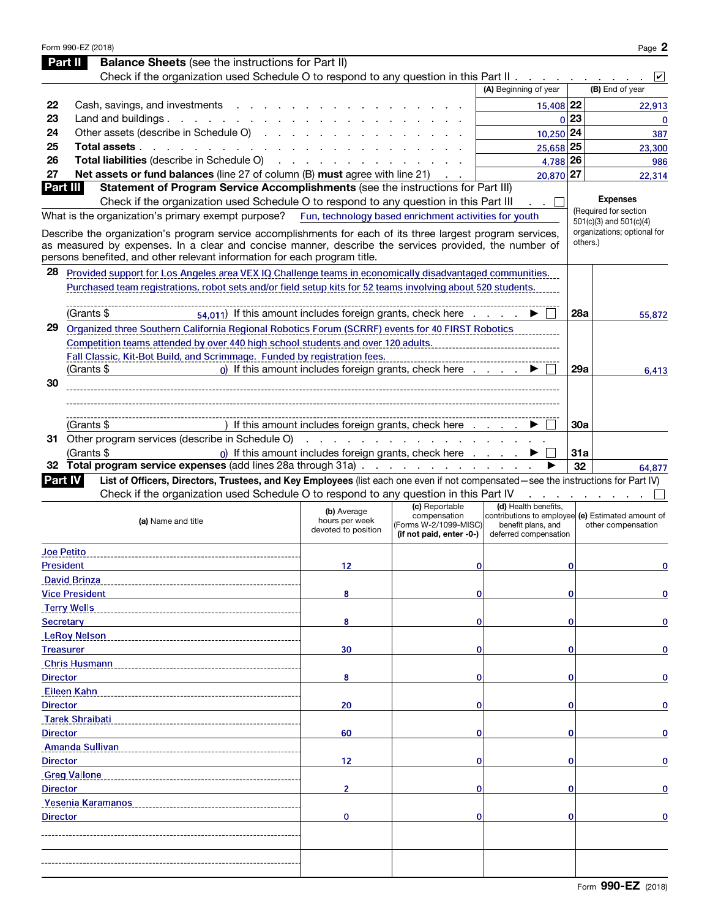|                  | Form 990-EZ (2018)                                                                                                                                                                                                                                                                                |                                                      |                                                                                     |                                                                                                                          |             | Page 2                                   |
|------------------|---------------------------------------------------------------------------------------------------------------------------------------------------------------------------------------------------------------------------------------------------------------------------------------------------|------------------------------------------------------|-------------------------------------------------------------------------------------|--------------------------------------------------------------------------------------------------------------------------|-------------|------------------------------------------|
|                  | <b>Balance Sheets</b> (see the instructions for Part II)<br>Part II                                                                                                                                                                                                                               |                                                      |                                                                                     |                                                                                                                          |             |                                          |
|                  | Check if the organization used Schedule O to respond to any question in this Part II                                                                                                                                                                                                              |                                                      |                                                                                     |                                                                                                                          |             | $\mathsf{v}$                             |
|                  |                                                                                                                                                                                                                                                                                                   |                                                      |                                                                                     | (A) Beginning of year                                                                                                    |             | (B) End of year                          |
| 22               | Cash, savings, and investments                                                                                                                                                                                                                                                                    |                                                      |                                                                                     | 15,408 22                                                                                                                |             | 22,913                                   |
| 23               | Land and buildings. $\cdot \cdot \cdot \cdot \cdot \cdot \cdot \cdot \cdot$                                                                                                                                                                                                                       |                                                      |                                                                                     |                                                                                                                          | 0 23        | $\mathbf 0$                              |
| 24               | Other assets (describe in Schedule O)                                                                                                                                                                                                                                                             |                                                      |                                                                                     | $10,250$ 24                                                                                                              |             | 387                                      |
| 25               | Total assets                                                                                                                                                                                                                                                                                      |                                                      |                                                                                     | 25,658 25                                                                                                                |             | 23,300                                   |
| 26               | Total liabilities (describe in Schedule O)                                                                                                                                                                                                                                                        |                                                      |                                                                                     | 4,788 26                                                                                                                 |             | 986                                      |
| 27               | Net assets or fund balances (line 27 of column (B) must agree with line 21)                                                                                                                                                                                                                       |                                                      |                                                                                     | 20,870 27                                                                                                                |             | 22,314                                   |
| Part III         | Statement of Program Service Accomplishments (see the instructions for Part III)                                                                                                                                                                                                                  |                                                      |                                                                                     |                                                                                                                          |             |                                          |
|                  | Check if the organization used Schedule O to respond to any question in this Part III                                                                                                                                                                                                             |                                                      |                                                                                     |                                                                                                                          |             | <b>Expenses</b><br>(Required for section |
|                  | What is the organization's primary exempt purpose? Fun, technology based enrichment activities for youth                                                                                                                                                                                          |                                                      |                                                                                     |                                                                                                                          |             | 501(c)(3) and 501(c)(4)                  |
|                  | Describe the organization's program service accomplishments for each of its three largest program services,<br>as measured by expenses. In a clear and concise manner, describe the services provided, the number of<br>persons benefited, and other relevant information for each program title. |                                                      |                                                                                     |                                                                                                                          |             | organizations; optional for<br>others.)  |
| 28               | Provided support for Los Angeles area VEX IQ Challenge teams in economically disadvantaged communities.                                                                                                                                                                                           |                                                      |                                                                                     |                                                                                                                          |             |                                          |
|                  | Purchased team registrations, robot sets and/or field setup kits for 52 teams involving about 520 students.                                                                                                                                                                                       |                                                      |                                                                                     |                                                                                                                          |             |                                          |
|                  |                                                                                                                                                                                                                                                                                                   |                                                      |                                                                                     |                                                                                                                          |             |                                          |
|                  | (Grants \$<br>54.011) If this amount includes foreign grants, check here                                                                                                                                                                                                                          |                                                      |                                                                                     |                                                                                                                          | <b>28a</b>  | 55,872                                   |
| 29               | Organized three Southern California Regional Robotics Forum (SCRRF) events for 40 FIRST Robotics                                                                                                                                                                                                  |                                                      |                                                                                     |                                                                                                                          |             |                                          |
|                  | Competition teams attended by over 440 high school students and over 120 adults.                                                                                                                                                                                                                  |                                                      |                                                                                     |                                                                                                                          |             |                                          |
|                  | Fall Classic, Kit-Bot Build, and Scrimmage. Funded by registration fees.                                                                                                                                                                                                                          |                                                      |                                                                                     |                                                                                                                          |             |                                          |
|                  | (Grants \$                                                                                                                                                                                                                                                                                        |                                                      | $_0$ ) If this amount includes foreign grants, check here $\ldots$ .                |                                                                                                                          | 29a         | 6.413                                    |
| 30               |                                                                                                                                                                                                                                                                                                   |                                                      |                                                                                     |                                                                                                                          |             |                                          |
|                  |                                                                                                                                                                                                                                                                                                   |                                                      |                                                                                     |                                                                                                                          |             |                                          |
|                  |                                                                                                                                                                                                                                                                                                   |                                                      |                                                                                     |                                                                                                                          |             |                                          |
|                  | (Grants \$                                                                                                                                                                                                                                                                                        |                                                      | If this amount includes foreign grants, check here                                  |                                                                                                                          | 30a         |                                          |
|                  | 31 Other program services (describe in Schedule O)                                                                                                                                                                                                                                                |                                                      | <u>.</u>                                                                            |                                                                                                                          |             |                                          |
|                  | (Grants \$                                                                                                                                                                                                                                                                                        |                                                      | 0) If this amount includes foreign grants, check here                               |                                                                                                                          | 31a         |                                          |
|                  |                                                                                                                                                                                                                                                                                                   |                                                      |                                                                                     |                                                                                                                          |             |                                          |
|                  | 32 Total program service expenses (add lines 28a through 31a)                                                                                                                                                                                                                                     |                                                      |                                                                                     |                                                                                                                          | 32          | 64,877                                   |
|                  | List of Officers, Directors, Trustees, and Key Employees (list each one even if not compensated-see the instructions for Part IV)<br>Part IV                                                                                                                                                      |                                                      |                                                                                     |                                                                                                                          |             |                                          |
|                  | Check if the organization used Schedule O to respond to any question in this Part IV                                                                                                                                                                                                              |                                                      |                                                                                     |                                                                                                                          |             |                                          |
|                  | (a) Name and title                                                                                                                                                                                                                                                                                | (b) Average<br>hours per week<br>devoted to position | (c) Reportable<br>compensation<br>(Forms W-2/1099-MISC)<br>(if not paid, enter -0-) | (d) Health benefits,<br>contributions to employee (e) Estimated amount of<br>benefit plans, and<br>deferred compensation |             | other compensation                       |
|                  | <b>Joe Petito</b>                                                                                                                                                                                                                                                                                 |                                                      |                                                                                     |                                                                                                                          |             |                                          |
| <b>President</b> |                                                                                                                                                                                                                                                                                                   | 12                                                   | 0                                                                                   |                                                                                                                          | $\mathbf 0$ | 0                                        |
|                  | <b>David Brinza</b>                                                                                                                                                                                                                                                                               |                                                      |                                                                                     |                                                                                                                          |             |                                          |
|                  | <b>Vice President</b>                                                                                                                                                                                                                                                                             | 8                                                    | 0                                                                                   |                                                                                                                          | $\mathbf 0$ | 0                                        |
|                  | <b>Terry Wells</b>                                                                                                                                                                                                                                                                                |                                                      |                                                                                     |                                                                                                                          |             |                                          |
| <b>Secretary</b> |                                                                                                                                                                                                                                                                                                   | 8                                                    | 0                                                                                   |                                                                                                                          | $\mathbf 0$ | 0                                        |
|                  | <b>LeRoy Nelson</b>                                                                                                                                                                                                                                                                               |                                                      |                                                                                     |                                                                                                                          |             |                                          |
|                  | <b>Treasurer</b>                                                                                                                                                                                                                                                                                  | 30                                                   | 0                                                                                   |                                                                                                                          | $\mathbf 0$ | 0                                        |
|                  | <b>Chris Husmann</b>                                                                                                                                                                                                                                                                              |                                                      |                                                                                     |                                                                                                                          |             |                                          |
| <b>Director</b>  |                                                                                                                                                                                                                                                                                                   | 8                                                    | 0                                                                                   |                                                                                                                          | $\mathbf 0$ | 0                                        |
|                  | Eileen Kahn                                                                                                                                                                                                                                                                                       |                                                      |                                                                                     |                                                                                                                          |             |                                          |
| <b>Director</b>  |                                                                                                                                                                                                                                                                                                   | 20                                                   | 0                                                                                   |                                                                                                                          | $\mathbf 0$ | 0                                        |
|                  | <b>Tarek Shraibati</b>                                                                                                                                                                                                                                                                            |                                                      |                                                                                     |                                                                                                                          |             |                                          |
| <b>Director</b>  |                                                                                                                                                                                                                                                                                                   | 60                                                   | 0                                                                                   |                                                                                                                          | $\mathbf 0$ | 0                                        |
|                  | Amanda Sullivan                                                                                                                                                                                                                                                                                   |                                                      |                                                                                     |                                                                                                                          |             |                                          |
| <b>Director</b>  |                                                                                                                                                                                                                                                                                                   | 12                                                   | 0                                                                                   |                                                                                                                          | $\mathbf 0$ | 0                                        |
|                  | <b>Greg Vallone</b>                                                                                                                                                                                                                                                                               |                                                      |                                                                                     |                                                                                                                          |             |                                          |
| <b>Director</b>  |                                                                                                                                                                                                                                                                                                   | $\overline{2}$                                       | 0                                                                                   |                                                                                                                          | $\mathbf 0$ | $\mathbf 0$                              |
|                  | Yesenia Karamanos                                                                                                                                                                                                                                                                                 |                                                      |                                                                                     |                                                                                                                          |             |                                          |
| <b>Director</b>  |                                                                                                                                                                                                                                                                                                   | 0                                                    | 0                                                                                   |                                                                                                                          | $\mathbf 0$ | $\mathbf 0$                              |
|                  |                                                                                                                                                                                                                                                                                                   |                                                      |                                                                                     |                                                                                                                          |             |                                          |
|                  |                                                                                                                                                                                                                                                                                                   |                                                      |                                                                                     |                                                                                                                          |             |                                          |
|                  |                                                                                                                                                                                                                                                                                                   |                                                      |                                                                                     |                                                                                                                          |             |                                          |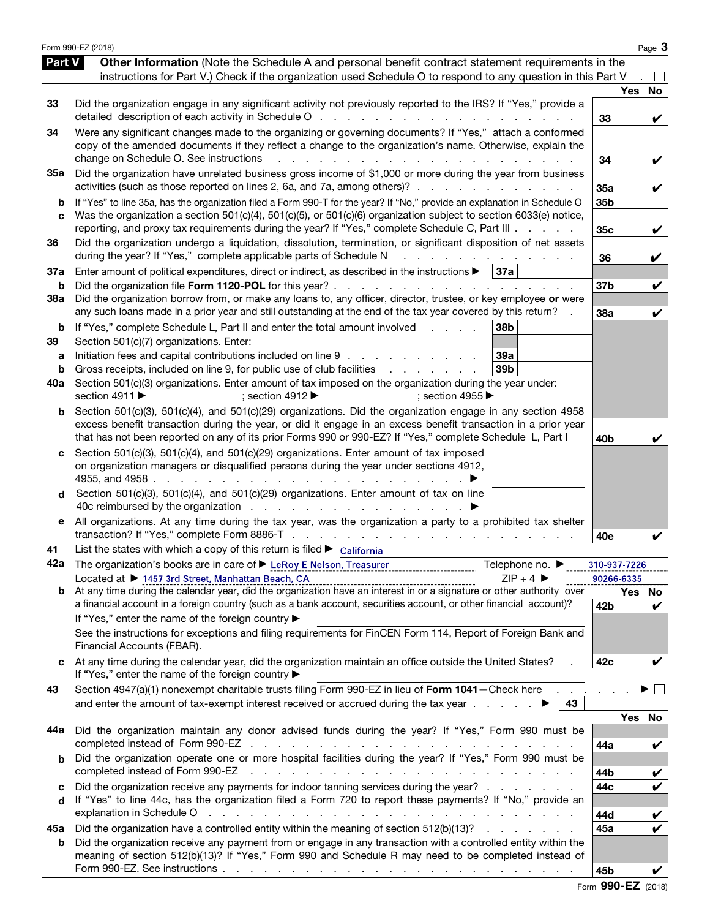|            | Form 990-EZ (2018)                                                                                                                                                                                                                                                                |                            |                  | Page 3            |
|------------|-----------------------------------------------------------------------------------------------------------------------------------------------------------------------------------------------------------------------------------------------------------------------------------|----------------------------|------------------|-------------------|
| Part V     | Other Information (Note the Schedule A and personal benefit contract statement requirements in the                                                                                                                                                                                |                            |                  |                   |
|            | instructions for Part V.) Check if the organization used Schedule O to respond to any question in this Part V                                                                                                                                                                     |                            |                  |                   |
|            |                                                                                                                                                                                                                                                                                   |                            | <b>Yes</b>       | No                |
| 33         | Did the organization engage in any significant activity not previously reported to the IRS? If "Yes," provide a                                                                                                                                                                   | 33                         |                  | V                 |
| 34         | Were any significant changes made to the organizing or governing documents? If "Yes," attach a conformed                                                                                                                                                                          |                            |                  |                   |
|            | copy of the amended documents if they reflect a change to the organization's name. Otherwise, explain the<br>change on Schedule O. See instructions<br><u>na kaominina mpikambana amin'ny fivondronan-kaominin'i Gregory ao amin'ny fivondronan-kaominin'i Andre Eure-Afrika.</u> |                            |                  |                   |
| 35а        | Did the organization have unrelated business gross income of \$1,000 or more during the year from business                                                                                                                                                                        | 34                         |                  | V                 |
|            | activities (such as those reported on lines 2, 6a, and 7a, among others)?                                                                                                                                                                                                         | 35a                        |                  | V                 |
| b          | If "Yes" to line 35a, has the organization filed a Form 990-T for the year? If "No," provide an explanation in Schedule O                                                                                                                                                         | 35b                        |                  |                   |
| C          | Was the organization a section 501(c)(4), 501(c)(5), or 501(c)(6) organization subject to section 6033(e) notice,                                                                                                                                                                 | 35c                        |                  |                   |
|            | reporting, and proxy tax requirements during the year? If "Yes," complete Schedule C, Part III                                                                                                                                                                                    |                            |                  | V                 |
| 36         | Did the organization undergo a liquidation, dissolution, termination, or significant disposition of net assets<br>during the year? If "Yes," complete applicable parts of Schedule N<br>a na mana an amaman an                                                                    | 36                         |                  | V                 |
| 37a        | Enter amount of political expenditures, direct or indirect, as described in the instructions $\blacktriangleright$   37a                                                                                                                                                          |                            |                  |                   |
| b          |                                                                                                                                                                                                                                                                                   | 37 <sub>b</sub>            |                  | V                 |
| <b>38a</b> | Did the organization borrow from, or make any loans to, any officer, director, trustee, or key employee or were<br>any such loans made in a prior year and still outstanding at the end of the tax year covered by this return?                                                   | 38a                        |                  | V                 |
| b          | If "Yes," complete Schedule L, Part II and enter the total amount involved<br>38b<br>and a state of                                                                                                                                                                               |                            |                  |                   |
| 39         | Section 501(c)(7) organizations. Enter:                                                                                                                                                                                                                                           |                            |                  |                   |
| a          | Initiation fees and capital contributions included on line 9<br>39a<br>39b<br>Gross receipts, included on line 9, for public use of club facilities                                                                                                                               |                            |                  |                   |
| b<br>40a   | Section 501(c)(3) organizations. Enter amount of tax imposed on the organization during the year under:                                                                                                                                                                           |                            |                  |                   |
|            | section 4911 ▶<br>; section $4912 \blacktriangleright$<br>; section 4955                                                                                                                                                                                                          |                            |                  |                   |
| b          | Section 501(c)(3), 501(c)(4), and 501(c)(29) organizations. Did the organization engage in any section 4958                                                                                                                                                                       |                            |                  |                   |
|            | excess benefit transaction during the year, or did it engage in an excess benefit transaction in a prior year<br>that has not been reported on any of its prior Forms 990 or 990-EZ? If "Yes," complete Schedule L, Part I                                                        | 40b                        |                  | V                 |
| с          | Section 501(c)(3), 501(c)(4), and 501(c)(29) organizations. Enter amount of tax imposed                                                                                                                                                                                           |                            |                  |                   |
|            | on organization managers or disqualified persons during the year under sections 4912,                                                                                                                                                                                             |                            |                  |                   |
| d          | Section 501(c)(3), 501(c)(4), and 501(c)(29) organizations. Enter amount of tax on line                                                                                                                                                                                           |                            |                  |                   |
|            |                                                                                                                                                                                                                                                                                   |                            |                  |                   |
| е          | All organizations. At any time during the tax year, was the organization a party to a prohibited tax shelter                                                                                                                                                                      |                            |                  |                   |
|            |                                                                                                                                                                                                                                                                                   | 40e                        |                  |                   |
| 41         | List the states with which a copy of this return is filed $\blacktriangleright$ California<br>Telephone no. ▶<br>The organization's books are in care of ▶ LeRoy E Nelson, Treasurer                                                                                              |                            |                  |                   |
| 42a        | $ZIP + 4$<br>Located at ▶ 1457 3rd Street, Manhattan Beach, CA                                                                                                                                                                                                                    | 310-937-7226<br>90266-6335 |                  |                   |
| b          | At any time during the calendar year, did the organization have an interest in or a signature or other authority over                                                                                                                                                             |                            | Yes <sub>1</sub> | No                |
|            | a financial account in a foreign country (such as a bank account, securities account, or other financial account)?                                                                                                                                                                | 42b                        |                  | V                 |
|            | If "Yes," enter the name of the foreign country ▶                                                                                                                                                                                                                                 |                            |                  |                   |
|            | See the instructions for exceptions and filing requirements for FinCEN Form 114, Report of Foreign Bank and<br>Financial Accounts (FBAR).                                                                                                                                         |                            |                  |                   |
|            | At any time during the calendar year, did the organization maintain an office outside the United States?<br>If "Yes," enter the name of the foreign country ▶                                                                                                                     | 42c                        |                  | V                 |
| 43         | Section 4947(a)(1) nonexempt charitable trusts filing Form 990-EZ in lieu of Form 1041-Check here                                                                                                                                                                                 |                            |                  |                   |
|            | and enter the amount of tax-exempt interest received or accrued during the tax year $\ldots$<br>43                                                                                                                                                                                |                            | <b>Yes</b>       | No                |
| 44а        | Did the organization maintain any donor advised funds during the year? If "Yes," Form 990 must be                                                                                                                                                                                 |                            |                  |                   |
|            |                                                                                                                                                                                                                                                                                   | 44a                        |                  | V                 |
| b          | Did the organization operate one or more hospital facilities during the year? If "Yes," Form 990 must be<br>completed instead of Form 990-EZ<br>and the contract of the contract of the contract of the contract of the contract of                                               |                            |                  |                   |
| c          | Did the organization receive any payments for indoor tanning services during the year?                                                                                                                                                                                            | 44b<br>44c                 |                  | V<br>$\checkmark$ |
| d          | If "Yes" to line 44c, has the organization filed a Form 720 to report these payments? If "No," provide an                                                                                                                                                                         |                            |                  |                   |
|            | explanation in Schedule O                                                                                                                                                                                                                                                         | 44d                        |                  | V                 |
| 45а        | Did the organization have a controlled entity within the meaning of section 512(b)(13)?                                                                                                                                                                                           | 45a                        |                  | $\checkmark$      |
| b          | Did the organization receive any payment from or engage in any transaction with a controlled entity within the                                                                                                                                                                    |                            |                  |                   |
|            | meaning of section 512(b)(13)? If "Yes," Form 990 and Schedule R may need to be completed instead of                                                                                                                                                                              | 45b                        |                  | V                 |
|            |                                                                                                                                                                                                                                                                                   |                            |                  |                   |

Form 990-EZ (2018)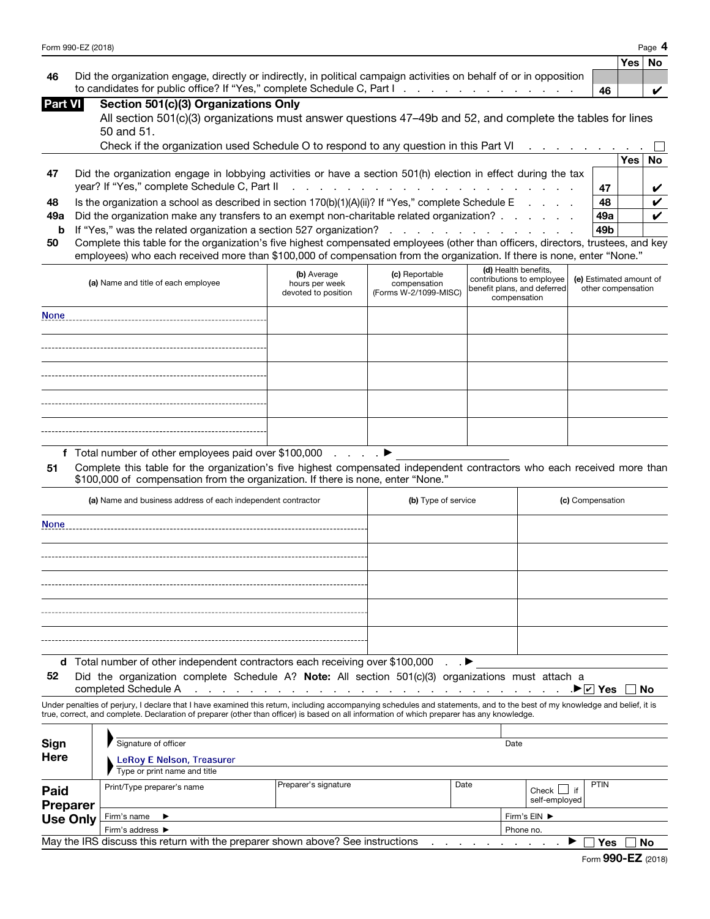| Form 990-EZ (2018) | Page |
|--------------------|------|
|--------------------|------|

|    |                                                                                                                     |    | Yes No |  |
|----|---------------------------------------------------------------------------------------------------------------------|----|--------|--|
| 46 | Did the organization engage, directly or indirectly, in political campaign activities on behalf of or in opposition |    |        |  |
|    | to candidates for public office? If "Yes," complete Schedule C, Part I. The Contract Contract Contract Contract C   | 46 |        |  |

| Part VI | Section 501(c)(3) Organizations Only                                                                       |
|---------|------------------------------------------------------------------------------------------------------------|
|         | All section 501(c)(3) organizations must answer questions 47–49b and 52, and complete the tables for lines |
|         | $50$ and $51$                                                                                              |

|     | <b>JU QIIU JI.</b>                                                                                            |                 |          |  |
|-----|---------------------------------------------------------------------------------------------------------------|-----------------|----------|--|
|     | Check if the organization used Schedule O to respond to any question in this Part VI                          |                 |          |  |
|     |                                                                                                               |                 | Yes   No |  |
| 47  | Did the organization engage in lobbying activities or have a section 501(h) election in effect during the tax |                 |          |  |
|     |                                                                                                               | 47              |          |  |
| 48  | Is the organization a school as described in section $170(b)(1)(A)(ii)$ ? If "Yes," complete Schedule E       | 48              |          |  |
| 49а | Did the organization make any transfers to an exempt non-charitable related organization?                     | 49a             |          |  |
|     | <b>b</b> If "Yes," was the related organization a section 527 organization?                                   | 49 <sub>b</sub> |          |  |
|     |                                                                                                               |                 |          |  |

50 Complete this table for the organization's five highest compensated employees (other than officers, directors, trustees, and key employees) who each received more than \$100,000 of compensation from the organization. If there is none, enter "None."

| (a) Name and title of each employee | (b) Average<br>hours per week<br>devoted to position | (c) Reportable<br>compensation<br>(Forms W-2/1099-MISC) | (d) Health benefits,<br>contributions to employee<br>benefit plans, and deferred<br>compensation | (e) Estimated amount of<br>other compensation |
|-------------------------------------|------------------------------------------------------|---------------------------------------------------------|--------------------------------------------------------------------------------------------------|-----------------------------------------------|
| <b>None</b>                         |                                                      |                                                         |                                                                                                  |                                               |
|                                     |                                                      |                                                         |                                                                                                  |                                               |
|                                     |                                                      |                                                         |                                                                                                  |                                               |
|                                     |                                                      |                                                         |                                                                                                  |                                               |
|                                     |                                                      |                                                         |                                                                                                  |                                               |

f Total number of other employees paid over \$100,000 . . . . ▶

51 Complete this table for the organization's five highest compensated independent contractors who each received more than \$100,000 of compensation from the organization. If there is none, enter "None."

| (a) Name and business address of each independent contractor                  | (b) Type of service | (c) Compensation |
|-------------------------------------------------------------------------------|---------------------|------------------|
| <b>None</b>                                                                   |                     |                  |
|                                                                               |                     |                  |
|                                                                               |                     |                  |
|                                                                               |                     |                  |
|                                                                               |                     |                  |
|                                                                               |                     |                  |
| d Total number of other independent contractors each receiving over \$100,000 | $\cdot$ $\cdot$     |                  |

52 Did the organization complete Schedule A? Note: All section 501(c)(3) organizations must attach a

completed Schedule A . . . . . . . . . . . . . . . . . . . . . . . . . . . .▶ Yes No

Under penalties of perjury, I declare that I have examined this return, including accompanying schedules and statements, and to the best of my knowledge and belief, it is true, correct, and complete. Declaration of preparer (other than officer) is based on all information of which preparer has any knowledge.

| Sign<br><b>Here</b>                                                                          | Signature of officer<br>LeRoy E Nelson, Treasurer |                      |      | Date         |                                     |             |
|----------------------------------------------------------------------------------------------|---------------------------------------------------|----------------------|------|--------------|-------------------------------------|-------------|
|                                                                                              | Type or print name and title                      |                      |      |              |                                     |             |
| <b>Paid</b><br><b>Preparer</b>                                                               | Print/Type preparer's name                        | Preparer's signature | Date |              | Check $\Box$<br>if<br>self-employed | <b>PTIN</b> |
| <b>Use Only</b>                                                                              | Firm's name $\blacktriangleright$                 |                      |      | Firm's EIN ▶ |                                     |             |
|                                                                                              | Firm's address ▶                                  |                      |      | Phone no.    |                                     |             |
| May the IRS discuss this return with the preparer shown above? See instructions<br>Yes<br>No |                                                   |                      |      |              |                                     |             |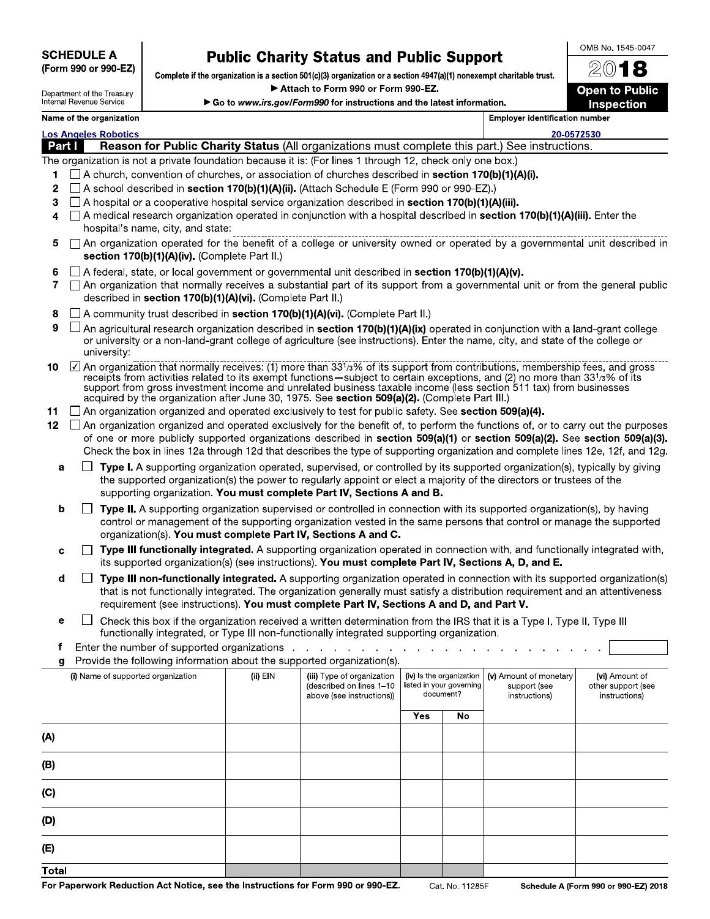SCHEDULE A (Form 990 or 990-EZ)

# Public Charity Status and Public Support

Complete if the organization is a section 501(c)(3) organization or a section 4947(a)(1) nonexempt charitable trust.

► **Attach to Form 990 or Form 990-EZ.** 

► **Go to www.irs.gov/Form990 for instructions and the latest information.** 

2018 Open to Public

**OMB No. 1545-0047** 

Inspection

| Department of the Treasury<br>Internal Revenue Service |
|--------------------------------------------------------|
| Name of the organization                               |

Employer identification number

20-0572530

Los Angeles Robotics<br>
Part | Reason<br>The experimetion is as Reason for Public Charity Status (All organizations must complete this part.) See instructions.

The organization is not a private foundation because it is: (For lines 1 through 12, check only one box.)

- 1  $\Box$  A church, convention of churches, or association of churches described in **section 170(b)(1)(A)(i).**
- 2  $\Box$  A school described in **section 170(b)(1)(A)(ii).** (Attach Schedule E (Form 990 or 990-EZ).)
- 3  $\Box$  A hospital or a cooperative hospital service organization described in **section 170(b)(1)(A)(iii).**
- 4 □ A medical research organization operated in conjunction with a hospital described in section 170(b)(1)(A)(iii). Enter the hospital's name, city, and state:
- 5 ❑ An organization operated for the benefit of a college or university owned or operated by a governmental unit described in section 170(b)(1)(A)(iv). (Complete Part II.)
- 6  $\Box$  A federal, state, or local government or governmental unit described in section 170(b)(1)(A)(v).
- 7 ❑ An organization that normally receives a substantial part of its support from a governmental unit or from the general public described in section 170(b)(1)(A)(vi). (Complete Part II.)
- 8  $\Box$  A community trust described in section 170(b)(1)(A)(vi). (Complete Part II.)
- 9  $\Box$  An agricultural research organization described in section 170(b)(1)(A)(ix) operated in conjunction with a land-grant college or university or a non-land-grant college of agriculture (see instructions). Enter the name, city, and state of the college or university:
- 10  $\Box$  An organization that normally receives: (1) more than 331/3% of its support from contributions, membership fees, and gross receipts from activities related to its exempt functions—subject to certain exceptions, and (2) no more than 331/3% of its support from gross investment income and unrelated business taxable income (less section 511 tax) from businesses acquired by the organization after June 30, 1975. See section 509(a)(2). (Complete Part III.)
- 11 ◯ An organization organized and operated exclusively to test for public safety. See section 509(a)(4).
- 12  $\Box$  An organization organized and operated exclusively for the benefit of, to perform the functions of, or to carry out the purposes of one or more publicly supported organizations described in section 509(a)(1) or section 509(a)(2). See section 509(a)(3). Check the box in lines 12a through 12d that describes the type of supporting organization and complete lines 12e, 12f, and 12g.
	- **a**  $\Box$  **Type I.** A supporting organization operated, supervised, or controlled by its supported organization(s), typically by giving the supported organization(s) the power to regularly appoint or elect a majority of the directors or trustees of the supporting organization. You must complete Part IV, Sections A and B.
	- **b**  $\Box$  Type II. A supporting organization supervised or controlled in connection with its supported organization(s), by having control or management of the supporting organization vested in the same persons that control or manage the supported organization(s). You must complete Part IV, Sections A and C.
	- $c \Box$  Type III functionally integrated. A supporting organization operated in connection with, and functionally integrated with, its supported organization(s) (see instructions). You must complete Part IV, Sections A, D, and E.
	- d **□ Type III non-functionally integrated.** A supporting organization operated in connection with its supported organization(s) that is not functionally integrated. The organization generally must satisfy a distribution requirement and an attentiveness requirement (see instructions). You must complete Part IV, Sections A and D, and Part V.

 $\sim 10$ 

- $\Box$  Check this box if the organization received a written determination from the IRS that it is a Type I, Type II, Type III e functionally integrated, or Type III non-functionally integrated supporting organization
- f Enter the number of supported organizations . . . . . .
- Provide the following information about the supported organization(s).

| ÷                                  |            |                                                                                     |                                                                   |    |                                                         |                                                       |
|------------------------------------|------------|-------------------------------------------------------------------------------------|-------------------------------------------------------------------|----|---------------------------------------------------------|-------------------------------------------------------|
| (i) Name of supported organization | $(ii)$ EIN | (iii) Type of organization<br>(described on lines 1-10<br>above (see instructions)) | (iv) Is the organization<br>listed in your governing<br>document? |    | (v) Amount of monetary<br>support (see<br>instructions) | (vi) Amount of<br>other support (see<br>instructions) |
|                                    |            |                                                                                     | <b>Yes</b>                                                        | No |                                                         |                                                       |
| (A)                                |            |                                                                                     |                                                                   |    |                                                         |                                                       |
| (B)                                |            |                                                                                     |                                                                   |    |                                                         |                                                       |
| (C)                                |            |                                                                                     |                                                                   |    |                                                         |                                                       |
| (D)                                |            |                                                                                     |                                                                   |    |                                                         |                                                       |
| (E)                                |            |                                                                                     |                                                                   |    |                                                         |                                                       |
| Total                              |            |                                                                                     |                                                                   |    |                                                         |                                                       |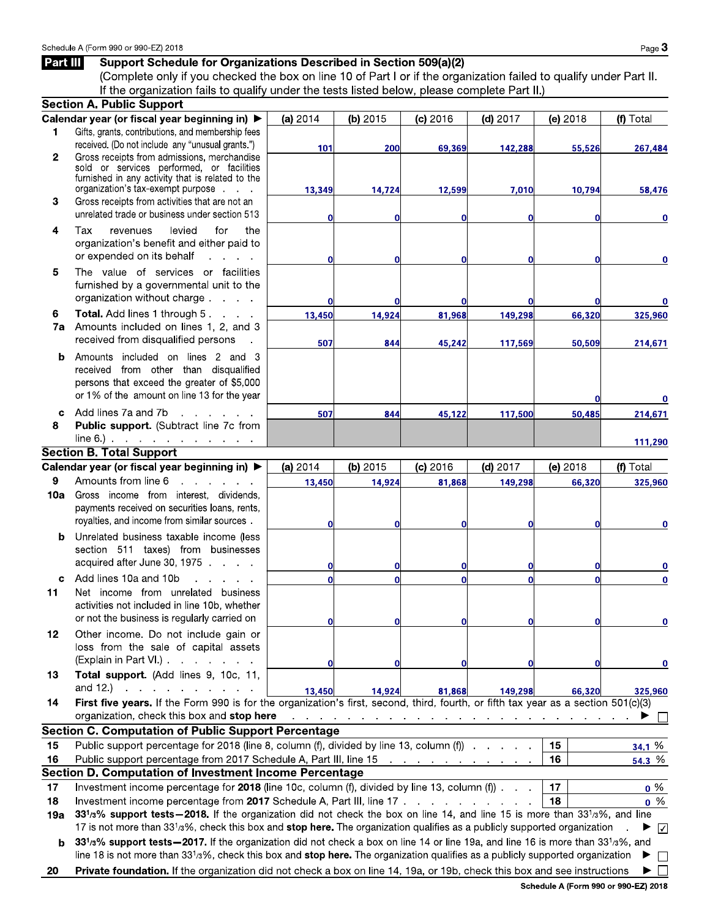## Part III Support Schedule for Organizations Described in Section 509(a)(2)

(Complete only if you checked the box on line 10 of Part I or if the organization failed to qualify under Part II. If the organization fails to qualify under the tests listed below, please complete Part II.)

|              | <b>Section A. Public Support</b>                                                                                                                                                                     |          |          |            |            |              |             |
|--------------|------------------------------------------------------------------------------------------------------------------------------------------------------------------------------------------------------|----------|----------|------------|------------|--------------|-------------|
|              | Calendar year (or fiscal year beginning in) ▶                                                                                                                                                        | (a) 2014 | (b) 2015 | $(c)$ 2016 | $(d)$ 2017 | (e) 2018     | (f) Total   |
| 1            | Gifts, grants, contributions, and membership fees                                                                                                                                                    |          |          |            |            |              |             |
|              | received. (Do not include any "unusual grants.")                                                                                                                                                     | 101      | 200      | 69,369     | 142,288    | 55,526       | 267,484     |
| $\mathbf{2}$ | Gross receipts from admissions, merchandise<br>sold or services performed, or facilities                                                                                                             |          |          |            |            |              |             |
|              | furnished in any activity that is related to the                                                                                                                                                     |          |          |            |            |              |             |
|              | organization's tax-exempt purpose                                                                                                                                                                    | 13,349   | 14,724   | 12,599     | 7,010      | 10,794       | 58,476      |
| 3            | Gross receipts from activities that are not an                                                                                                                                                       |          |          |            |            |              |             |
|              | unrelated trade or business under section 513                                                                                                                                                        | 0        | 0        | Ω          | 0          | 0            | $\bf{0}$    |
| 4            | the<br>Tax<br>levied<br>for<br>revenues                                                                                                                                                              |          |          |            |            |              |             |
|              | organization's benefit and either paid to                                                                                                                                                            |          |          |            |            |              |             |
|              | or expended on its behalf<br>and the company                                                                                                                                                         | 0        | 0        |            | 0          | $\mathbf{0}$ | 0           |
| 5            | The value of services or facilities                                                                                                                                                                  |          |          |            |            |              |             |
|              | furnished by a governmental unit to the                                                                                                                                                              |          |          |            |            |              |             |
|              | organization without charge                                                                                                                                                                          | 0        |          |            | ΩI         | $\bf{0}$     |             |
| 6            | <b>Total.</b> Add lines 1 through 5.                                                                                                                                                                 | 13,450   | 14,924   | 81,968     | 149,298    | 66,320       | 325,960     |
| 7a           | Amounts included on lines 1, 2, and 3                                                                                                                                                                |          |          |            |            |              |             |
|              | received from disqualified persons                                                                                                                                                                   | 507      | 844      | 45,242     | 117,569    | 50,509       | 214,671     |
| b            | Amounts included on lines 2 and 3                                                                                                                                                                    |          |          |            |            |              |             |
|              | received from other than disqualified                                                                                                                                                                |          |          |            |            |              |             |
|              | persons that exceed the greater of \$5,000                                                                                                                                                           |          |          |            |            |              |             |
|              | or 1% of the amount on line 13 for the year                                                                                                                                                          |          |          |            |            | 0            | 0           |
| c            | Add lines 7a and 7b<br>$\mathbf{r}$ and $\mathbf{r}$                                                                                                                                                 | 507      | 844      | 45,122     | 117,500    | 50,485       | 214,671     |
| 8            | Public support. (Subtract line 7c from                                                                                                                                                               |          |          |            |            |              |             |
|              | $line 6.)$                                                                                                                                                                                           |          |          |            |            |              | 111,290     |
|              | <b>Section B. Total Support</b>                                                                                                                                                                      |          |          |            |            |              |             |
|              | Calendar year (or fiscal year beginning in) ▶                                                                                                                                                        | (a) 2014 | (b) 2015 | (c) 2016   | $(d)$ 2017 | (e) 2018     | (f) Total   |
| 9            | Amounts from line 6<br>and a state                                                                                                                                                                   | 13,450   | 14,924   | 81,868     | 149,298    | 66,320       | 325,960     |
| 10a          | Gross income from interest, dividends,                                                                                                                                                               |          |          |            |            |              |             |
|              | payments received on securities loans, rents,                                                                                                                                                        |          |          |            |            |              |             |
|              | royalties, and income from similar sources.                                                                                                                                                          | 0        | $\bf{0}$ |            | 0          | $\bf{0}$     | 0           |
| b            | Unrelated business taxable income (less                                                                                                                                                              |          |          |            |            |              |             |
|              | section 511 taxes) from businesses                                                                                                                                                                   |          |          |            |            |              |             |
|              | acquired after June 30, 1975                                                                                                                                                                         | 0        | 0        |            | 0l         | 0            | 0           |
| C.           | Add lines 10a and 10b<br>and the contract of the con-                                                                                                                                                | Ō        | $\Omega$ |            | Ωl         | $\Omega$     | 0           |
| 11           | Net income from unrelated<br>business                                                                                                                                                                |          |          |            |            |              |             |
|              | activities not included in line 10b, whether                                                                                                                                                         |          |          |            |            |              |             |
|              | or not the business is regularly carried on                                                                                                                                                          | O        | 0        | 01         | 01         | 01           | 0           |
| 12           | Other income. Do not include gain or                                                                                                                                                                 |          |          |            |            |              |             |
|              | loss from the sale of capital assets                                                                                                                                                                 |          |          |            |            |              |             |
|              | $(Explain in Part VI.)$ $\ldots$ $\ldots$ $\ldots$                                                                                                                                                   | 0        | 0        |            | $\Omega$   | 0            | $\bf{0}$    |
| 13           | Total support. (Add lines 9, 10c, 11,                                                                                                                                                                |          |          |            |            |              |             |
|              | and $12$ , $\ldots$ , $\ldots$ , $\ldots$                                                                                                                                                            | 13,450   | 14,924   | 81,868     | 149,298    | 66,320       | 325,960     |
| 14           | First five years. If the Form 990 is for the organization's first, second, third, fourth, or fifth tax year as a section 501(c)(3)                                                                   |          |          |            |            |              |             |
|              | organization, check this box and stop here<br>المنافر والمنافر والمنافر والمنافر والمنافر والمنافر والمنافر والمنافر والمنافر والمنافر<br><b>Section C. Computation of Public Support Percentage</b> |          |          |            |            |              |             |
|              |                                                                                                                                                                                                      |          |          |            |            |              |             |
| 15           | Public support percentage for 2018 (line 8, column (f), divided by line 13, column (f)                                                                                                               |          |          |            |            | 15<br>16     | 34.1%       |
|              | Public support percentage from 2017 Schedule A, Part III, line 15<br>16<br>54.3%<br>Section D. Computation of Investment Income Percentage                                                           |          |          |            |            |              |             |
|              | Investment income percentage for 2018 (line 10c, column (f), divided by line 13, column (f) $\ldots$<br>17<br>$0\%$<br>17                                                                            |          |          |            |            |              |             |
|              | Investment income percentage from 2017 Schedule A, Part III, line 17<br>18<br>$0\%$                                                                                                                  |          |          |            |            |              |             |
| 18           | 331/3% support tests-2018. If the organization did not check the box on line 14, and line 15 is more than 331/3%, and line                                                                           |          |          |            |            |              |             |
| 19а          | 17 is not more than 33 <sup>1</sup> /3%, check this box and stop here. The organization qualifies as a publicly supported organization<br>▶<br>$\sqrt{2}$                                            |          |          |            |            |              |             |
|              | 331/3% support tests - 2017. If the organization did not check a box on line 14 or line 19a, and line 16 is more than 331/3%, and<br>b                                                               |          |          |            |            |              |             |
|              | line 18 is not more than 33 <sup>1</sup> /3%, check this box and stop here. The organization qualifies as a publicly supported organization                                                          |          |          |            |            |              | ▶<br>$\Box$ |
| 20           | Private foundation. If the organization did not check a box on line 14, 19a, or 19b, check this box and see instructions                                                                             |          |          |            |            |              |             |
|              |                                                                                                                                                                                                      |          |          |            |            |              |             |
|              | Schedule A (Form 990 or 990-EZ) 2018                                                                                                                                                                 |          |          |            |            |              |             |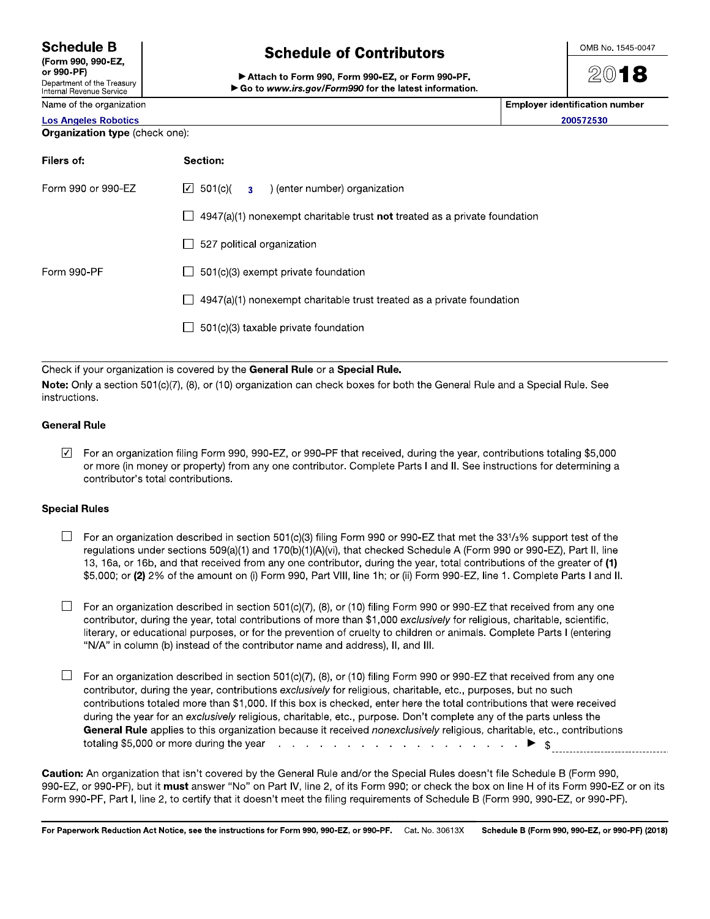## Schedule B

(Form 990, 990-EZ, or 990-PF) Department of the Treasury Internal Revenue Service

Name of the organization

# Schedule of Contributors

►Attach **to Form 990, Form 990-EZ, or Form 990-PF.**  ► **Go to www.irs.gov/Form990 for the latest information.**  **OMB No. 1545-0047** 

2018

| <b>Employer identification number</b> |
|---------------------------------------|
| 200572530                             |

Los Angeles Robotics

Organization type (check one):

| Filers of:         | Section:                                                                                                |
|--------------------|---------------------------------------------------------------------------------------------------------|
| Form 990 or 990-EZ | $\boxed{\bigcirc}$ 501(c)(<br>) (enter number) organization<br>3 <sup>1</sup>                           |
|                    | $4947(a)(1)$ nonexempt charitable trust not treated as a private foundation<br>$\overline{\phantom{0}}$ |
|                    | 527 political organization<br>$\mathsf{L}$                                                              |
| Form 990-PF        | 501(c)(3) exempt private foundation                                                                     |
|                    | 4947(a)(1) nonexempt charitable trust treated as a private foundation<br>$\mathsf{L}$                   |
|                    | 501(c)(3) taxable private foundation                                                                    |
|                    |                                                                                                         |

Check if your organization is covered by the General Rule or a Special Rule.

Note: Only a section 501(c)(7), (8), or (10) organization can check boxes for both the General Rule and a Special Rule. See instructions.

### General Rule

 $\boxed{2}$  For an organization filing Form 990, 990-EZ, or 990-PF that received, during the year, contributions totaling \$5,000 or more (in money or property) from any one contributor. Complete Parts I and II. See instructions for determining a contributor's total contributions.

### Special Rules

 $\Box$  For an organization described in section 501(c)(3) filing Form 990 or 990-EZ that met the 331/3% support test of the regulations under sections 509(a)(1) and 170(b)(1)(A)(vi), that checked Schedule A (Form 990 or 990-EZ), Part II, line 13, 16a, or 16b, and that received from any one contributor, during the year, total contributions of the greater of (1) \$5,000; or (2) 2% of the amount on (i) Form 990, Part VIII, line 1h; or (ii) Form 990-EZ, line 1. Complete Parts I and II.

 $\Box$  For an organization described in section 501(c)(7), (8), or (10) filing Form 990 or 990-EZ that received from any one contributor, during the year, total contributions of more than \$1,000 exclusively for religious, charitable, scientific, literary, or educational purposes, or for the prevention of cruelty to children or animals. Complete Parts I (entering "N/A" in column (b) instead of the contributor name and address), II, and III.

 $\Box$  For an organization described in section 501(c)(7), (8), or (10) filing Form 990 or 990-EZ that received from any one contributor, during the year, contributions exclusively for religious, charitable, etc., purposes, but no such contributions totaled more than \$1,000. If this box is checked, enter here the total contributions that were received during the year for an exclusively religious, charitable, etc., purpose. Don't complete any of the parts unless the General Rule applies to this organization because it received nonexclusively religious, charitable, etc., contributions totaling \$5,000 or more during the year  $\frac{1}{2}$  **b**  $\frac{1}{2}$  **b**  $\frac{1}{2}$  **b**  $\frac{1}{2}$  **b**  $\frac{1}{2}$  **b**  $\frac{1}{2}$  **b**  $\frac{1}{2}$  **b**  $\frac{1}{2}$  **b**  $\frac{1}{2}$  **b**  $\frac{1}{2}$  **b**  $\frac{1}{2}$  **b**  $\frac{1}{2}$  **b**  $\frac{1}{2}$  **b** 

**Caution: An organization that isn't covered by the General Rule and/or the Special Rules doesn't file Schedule B (Form 990, 990-EZ, or 990-PF), but it must answer "No" on Part IV, line 2, of its Form 990; or check the box on line H of its Form 990-EZ or on its Form 990-PF, Part I, line 2, to certify that it doesn't meet the filing requirements of Schedule B (Form 990, 990-EZ, or 990-PF).**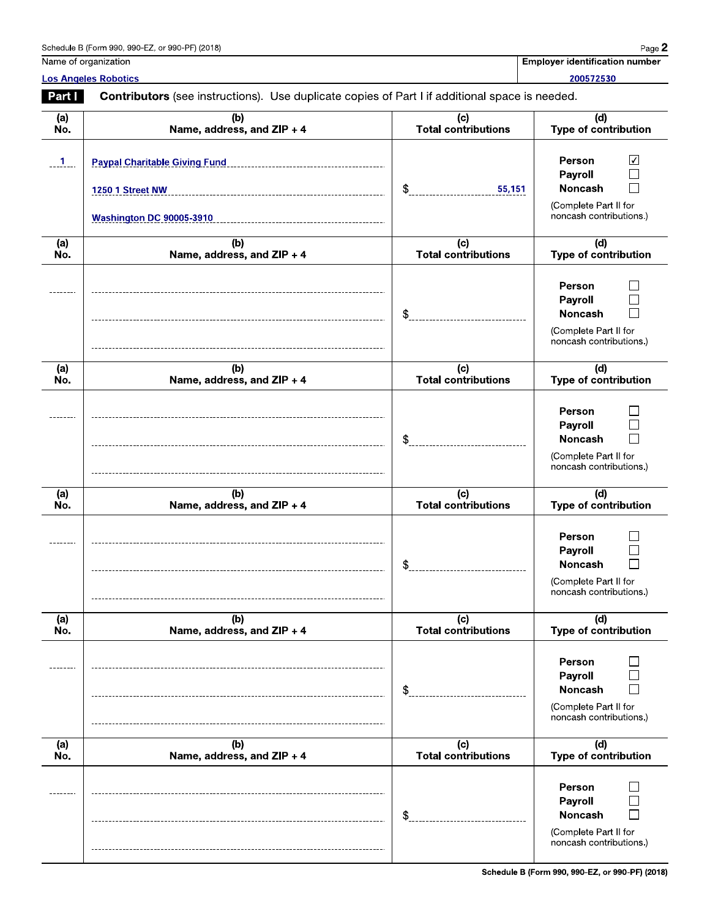| Schedule B (Form 990, 990-EZ, or 990-PF) (2018) | Page $\mathbb{Z}$ |
|-------------------------------------------------|-------------------|
|-------------------------------------------------|-------------------|

| <b>Employer identification number</b> |  |
|---------------------------------------|--|

Name of organization Los Angeles Robotics

200572530

| Part I                    | <b>Contributors</b> (see instructions). Use duplicate copies of Part I if additional space is needed. |                                   |                                                                                         |  |  |  |
|---------------------------|-------------------------------------------------------------------------------------------------------|-----------------------------------|-----------------------------------------------------------------------------------------|--|--|--|
| (a)<br>No.                | (b)<br>Name, address, and ZIP + 4                                                                     | (c)<br><b>Total contributions</b> | (d)<br>Type of contribution                                                             |  |  |  |
| $\overline{\phantom{a}1}$ | <b>Paypal Charitable Giving Fund</b><br><b>1250 1 Street NW</b><br><b>Washington DC 90005-3910</b>    | \$<br>55,151                      | Person<br>∨<br>Payroll<br>Noncash<br>(Complete Part II for<br>noncash contributions)    |  |  |  |
| (a)<br>No.                | (b)<br>Name, address, and ZIP + 4                                                                     | (c)<br>Total contributions        | (d)<br>Type of contribution                                                             |  |  |  |
|                           |                                                                                                       | \$                                | Person<br>Payroll<br>Noncash<br>(Complete Part II for<br>noncash contributions)         |  |  |  |
| (a)<br>No.                | (b)<br>Name, address, and ZIP + 4                                                                     | (c)<br><b>Total contributions</b> | (d)<br><b>Type of contribution</b>                                                      |  |  |  |
|                           |                                                                                                       | \$                                | Person<br>Payroll<br><b>Noncash</b><br>(Complete Part II for<br>noncash contributions.) |  |  |  |
| (a)<br>No.                | (b)<br>Name, address, and ZIP + 4                                                                     | (c)<br><b>Total contributions</b> | (d)<br>Type of contribution                                                             |  |  |  |
|                           |                                                                                                       | \$                                | Person<br>Payroll<br>Noncash<br>(Complete Part II for<br>noncash contributions.)        |  |  |  |
| (a)<br>No.                | (b)<br>Name, address, and ZIP + 4                                                                     | (c)<br><b>Total contributions</b> | (d)<br>Type of contribution                                                             |  |  |  |
|                           |                                                                                                       | \$                                | <b>Person</b><br>Payroll<br>Noncash<br>(Complete Part II for<br>noncash contributions)  |  |  |  |
| (a)<br>No.                | (b)<br>Name, address, and ZIP + 4                                                                     | (c)<br><b>Total contributions</b> | (d)<br>Type of contribution                                                             |  |  |  |
|                           |                                                                                                       | \$                                | <b>Person</b><br>Payroll<br>Noncash<br>(Complete Part II for<br>noncash contributions)  |  |  |  |